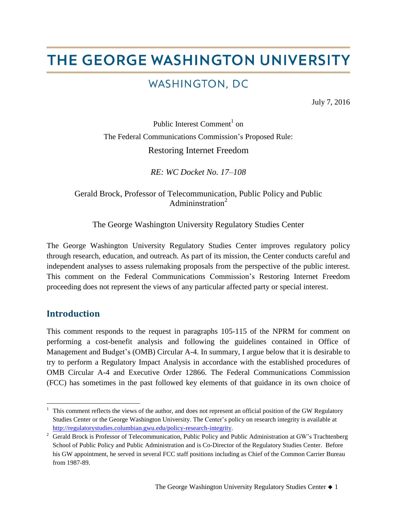# THE GEORGE WASHINGTON UNIVERSITY

# WASHINGTON, DC

July 7, 2016

Public Interest Comment<sup>1</sup> on The Federal Communications Commission's Proposed Rule: Restoring Internet Freedom

*RE: WC Docket No. 17–108*

Gerald Brock, Professor of Telecommunication, Public Policy and Public Admininstration<sup>2</sup>

The George Washington University Regulatory Studies Center

The George Washington University Regulatory Studies Center improves regulatory policy through research, education, and outreach. As part of its mission, the Center conducts careful and independent analyses to assess rulemaking proposals from the perspective of the public interest. This comment on the Federal Communications Commission's Restoring Internet Freedom proceeding does not represent the views of any particular affected party or special interest.

#### **Introduction**

 $\overline{a}$ 

This comment responds to the request in paragraphs 105-115 of the NPRM for comment on performing a cost-benefit analysis and following the guidelines contained in Office of Management and Budget's (OMB) Circular A-4. In summary, I argue below that it is desirable to try to perform a Regulatory Impact Analysis in accordance with the established procedures of OMB Circular A-4 and Executive Order 12866. The Federal Communications Commission (FCC) has sometimes in the past followed key elements of that guidance in its own choice of

This comment reflects the views of the author, and does not represent an official position of the GW Regulatory Studies Center or the George Washington University. The Center's policy on research integrity is available at [http://regulatorystudies.columbian.gwu.edu/policy-research-integrity.](http://regulatorystudies.columbian.gwu.edu/policy-research-integrity)

<sup>&</sup>lt;sup>2</sup> Gerald Brock is Professor of Telecommunication, Public Policy and Public Administration at GW's Trachtenberg School of Public Policy and Public Administration and is Co-Director of the Regulatory Studies Center. Before his GW appointment, he served in several FCC staff positions including as Chief of the Common Carrier Bureau from 1987-89.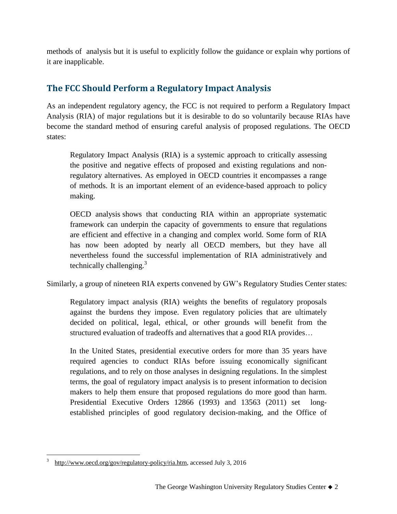methods of analysis but it is useful to explicitly follow the guidance or explain why portions of it are inapplicable.

# **The FCC Should Perform a Regulatory Impact Analysis**

As an independent regulatory agency, the FCC is not required to perform a Regulatory Impact Analysis (RIA) of major regulations but it is desirable to do so voluntarily because RIAs have become the standard method of ensuring careful analysis of proposed regulations. The OECD states:

Regulatory Impact Analysis (RIA) is a systemic approach to critically assessing the positive and negative effects of proposed and existing regulations and nonregulatory alternatives. As employed in OECD countries it encompasses a range of methods. It is an important element of an evidence-based approach to policy making.

OECD analysis shows that conducting RIA within an appropriate systematic framework can underpin the capacity of governments to ensure that regulations are efficient and effective in a changing and complex world. Some form of RIA has now been adopted by nearly all OECD members, but they have all nevertheless found the successful implementation of RIA administratively and technically challenging. $3$ 

Similarly, a group of nineteen RIA experts convened by GW's Regulatory Studies Center states:

Regulatory impact analysis (RIA) weights the benefits of regulatory proposals against the burdens they impose. Even regulatory policies that are ultimately decided on political, legal, ethical, or other grounds will benefit from the structured evaluation of tradeoffs and alternatives that a good RIA provides…

In the United States, presidential executive orders for more than 35 years have required agencies to conduct RIAs before issuing economically significant regulations, and to rely on those analyses in designing regulations. In the simplest terms, the goal of regulatory impact analysis is to present information to decision makers to help them ensure that proposed regulations do more good than harm. Presidential Executive Orders 12866 (1993) and 13563 (2011) set longestablished principles of good regulatory decision-making, and the Office of

 $\overline{a}$ 

<sup>3</sup> [http://www.oecd.org/gov/regulatory-policy/ria.htm,](http://www.oecd.org/gov/regulatory-policy/ria.htm) accessed July 3, 2016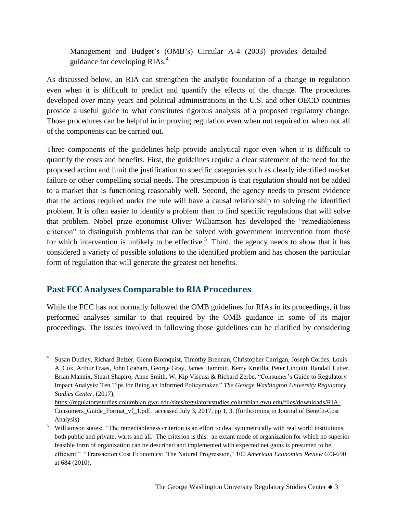Management and Budget's (OMB's) Circular A-4 (2003) provides detailed guidance for developing RIAs.<sup>4</sup>

As discussed below, an RIA can strengthen the analytic foundation of a change in regulation even when it is difficult to predict and quantify the effects of the change. The procedures developed over many years and political administrations in the U.S. and other OECD countries provide a useful guide to what constitutes rigorous analysis of a proposed regulatory change. Those procedures can be helpful in improving regulation even when not required or when not all of the components can be carried out.

Three components of the guidelines help provide analytical rigor even when it is difficult to quantify the costs and benefits. First, the guidelines require a clear statement of the need for the proposed action and limit the justification to specific categories such as clearly identified market failure or other compelling social needs. The presumption is that regulation should not be added to a market that is functioning reasonably well. Second, the agency needs to present evidence that the actions required under the rule will have a causal relationship to solving the identified problem. It is often easier to identify a problem than to find specific regulations that will solve that problem. Nobel prize economist Oliver Williamson has developed the "remediableness criterion" to distinguish problems that can be solved with government intervention from those for which intervention is unlikely to be effective.<sup>5</sup> Third, the agency needs to show that it has considered a variety of possible solutions to the identified problem and has chosen the particular form of regulation that will generate the greatest net benefits.

#### **Past FCC Analyses Comparable to RIA Procedures**

While the FCC has not normally followed the OMB guidelines for RIAs in its proceedings, it has performed analyses similar to that required by the OMB guidance in some of its major proceedings. The issues involved in following those guidelines can be clarified by considering

 $\overline{a}$ 4 Susan Dudley, Richard Belzer, Glenn Blomquist, Timothy Brennan, Christopher Carrigan, Joseph Cordes, Louis A. Cox, Arthur Fraas, John Graham, George Gray, James Hammitt, Kerry Krutilla, Peter Linquiti, Randall Lutter, Brian Mannix, Stuart Shapiro, Anne Smith, W. Kip Viscusi & Richard Zerbe. "Consumer's Guide to Regulatory Impact Analysis: Ten Tips for Being an Informed Policymaker." *The George Washington University Regulatory Studies Center*. (2017), [https://regulatorystudies.columbian.gwu.edu/sites/regulatorystudies.columbian.gwu.edu/files/downloads/RIA-](https://regulatorystudies.columbian.gwu.edu/sites/regulatorystudies.columbian.gwu.edu/files/downloads/RIA-Consumers_Guide_Format_vf_1.pdf)

Consumers Guide Format vf 1.pdf, accessed July 3, 2017, pp 1, 3. (forthcoming in Journal of Benefit-Cost Analysis)

<sup>&</sup>lt;sup>5</sup> Williamson states: "The remediableness criterion is an effort to deal symmetrically with real world institutions, both public and private, warts and all. The criterion is this: an extant mode of organization for which no superior feasible form of organization can be described and implemented with expected net gains is presumed to be efficient." "Transaction Cost Economics: The Natural Progression," 100 *American Economics Review* 673-690 at 684 (2010).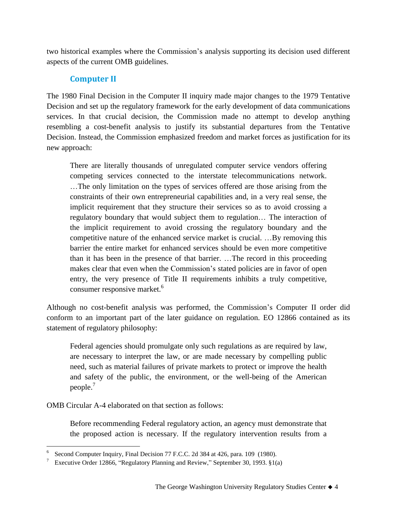two historical examples where the Commission's analysis supporting its decision used different aspects of the current OMB guidelines.

#### **Computer II**

The 1980 Final Decision in the Computer II inquiry made major changes to the 1979 Tentative Decision and set up the regulatory framework for the early development of data communications services. In that crucial decision, the Commission made no attempt to develop anything resembling a cost-benefit analysis to justify its substantial departures from the Tentative Decision. Instead, the Commission emphasized freedom and market forces as justification for its new approach:

There are literally thousands of unregulated computer service vendors offering competing services connected to the interstate telecommunications network. …The only limitation on the types of services offered are those arising from the constraints of their own entrepreneurial capabilities and, in a very real sense, the implicit requirement that they structure their services so as to avoid crossing a regulatory boundary that would subject them to regulation… The interaction of the implicit requirement to avoid crossing the regulatory boundary and the competitive nature of the enhanced service market is crucial. …By removing this barrier the entire market for enhanced services should be even more competitive than it has been in the presence of that barrier. …The record in this proceeding makes clear that even when the Commission's stated policies are in favor of open entry, the very presence of Title II requirements inhibits a truly competitive, consumer responsive market.<sup>6</sup>

Although no cost-benefit analysis was performed, the Commission's Computer II order did conform to an important part of the later guidance on regulation. EO 12866 contained as its statement of regulatory philosophy:

Federal agencies should promulgate only such regulations as are required by law, are necessary to interpret the law, or are made necessary by compelling public need, such as material failures of private markets to protect or improve the health and safety of the public, the environment, or the well-being of the American people. $<sup>7</sup>$ </sup>

OMB Circular A-4 elaborated on that section as follows:

 $\overline{a}$ 

Before recommending Federal regulatory action, an agency must demonstrate that the proposed action is necessary. If the regulatory intervention results from a

<sup>6</sup> Second Computer Inquiry, Final Decision 77 F.C.C. 2d 384 at 426, para. 109 (1980).

<sup>&</sup>lt;sup>7</sup> Executive Order 12866, "Regulatory Planning and Review," September 30, 1993.  $\S1(a)$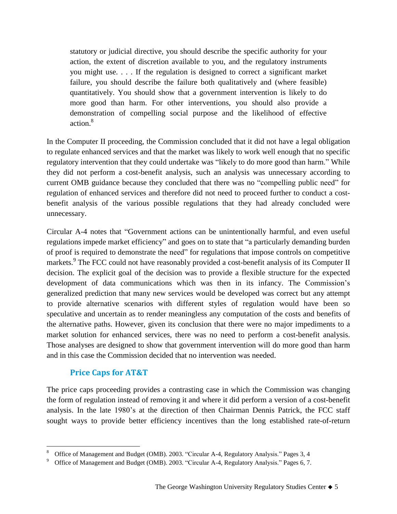statutory or judicial directive, you should describe the specific authority for your action, the extent of discretion available to you, and the regulatory instruments you might use. . . . If the regulation is designed to correct a significant market failure, you should describe the failure both qualitatively and (where feasible) quantitatively. You should show that a government intervention is likely to do more good than harm. For other interventions, you should also provide a demonstration of compelling social purpose and the likelihood of effective action.<sup>8</sup>

In the Computer II proceeding, the Commission concluded that it did not have a legal obligation to regulate enhanced services and that the market was likely to work well enough that no specific regulatory intervention that they could undertake was "likely to do more good than harm." While they did not perform a cost-benefit analysis, such an analysis was unnecessary according to current OMB guidance because they concluded that there was no "compelling public need" for regulation of enhanced services and therefore did not need to proceed further to conduct a costbenefit analysis of the various possible regulations that they had already concluded were unnecessary.

Circular A-4 notes that "Government actions can be unintentionally harmful, and even useful regulations impede market efficiency" and goes on to state that "a particularly demanding burden of proof is required to demonstrate the need" for regulations that impose controls on competitive markets.<sup>9</sup> The FCC could not have reasonably provided a cost-benefit analysis of its Computer II decision. The explicit goal of the decision was to provide a flexible structure for the expected development of data communications which was then in its infancy. The Commission's generalized prediction that many new services would be developed was correct but any attempt to provide alternative scenarios with different styles of regulation would have been so speculative and uncertain as to render meaningless any computation of the costs and benefits of the alternative paths. However, given its conclusion that there were no major impediments to a market solution for enhanced services, there was no need to perform a cost-benefit analysis. Those analyses are designed to show that government intervention will do more good than harm and in this case the Commission decided that no intervention was needed.

#### **Price Caps for AT&T**

The price caps proceeding provides a contrasting case in which the Commission was changing the form of regulation instead of removing it and where it did perform a version of a cost-benefit analysis. In the late 1980's at the direction of then Chairman Dennis Patrick, the FCC staff sought ways to provide better efficiency incentives than the long established rate-of-return

 $\overline{a}$ <sup>8</sup> Office of Management and Budget (OMB). 2003. "Circular A-4, Regulatory Analysis." Pages 3, 4

<sup>9</sup> Office of Management and Budget (OMB). 2003. "Circular A-4, Regulatory Analysis." Pages 6, 7.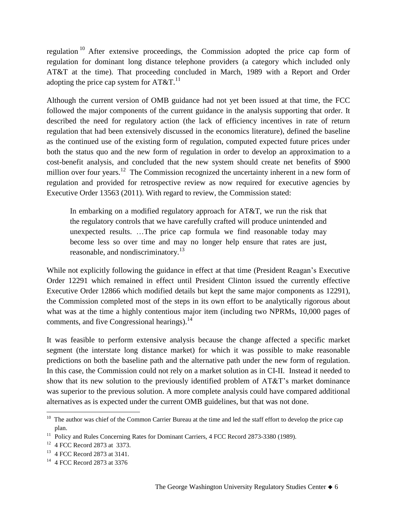regulation <sup>10</sup> After extensive proceedings, the Commission adopted the price cap form of regulation for dominant long distance telephone providers (a category which included only AT&T at the time). That proceeding concluded in March, 1989 with a Report and Order adopting the price cap system for  $AT&T$ .<sup>11</sup>

Although the current version of OMB guidance had not yet been issued at that time, the FCC followed the major components of the current guidance in the analysis supporting that order. It described the need for regulatory action (the lack of efficiency incentives in rate of return regulation that had been extensively discussed in the economics literature), defined the baseline as the continued use of the existing form of regulation, computed expected future prices under both the status quo and the new form of regulation in order to develop an approximation to a cost-benefit analysis, and concluded that the new system should create net benefits of \$900 million over four years.<sup>12</sup> The Commission recognized the uncertainty inherent in a new form of regulation and provided for retrospective review as now required for executive agencies by Executive Order 13563 (2011). With regard to review, the Commission stated:

In embarking on a modified regulatory approach for AT&T, we run the risk that the regulatory controls that we have carefully crafted will produce unintended and unexpected results. …The price cap formula we find reasonable today may become less so over time and may no longer help ensure that rates are just, reasonable, and nondiscriminatory.<sup>13</sup>

While not explicitly following the guidance in effect at that time (President Reagan's Executive Order 12291 which remained in effect until President Clinton issued the currently effective Executive Order 12866 which modified details but kept the same major components as 12291), the Commission completed most of the steps in its own effort to be analytically rigorous about what was at the time a highly contentious major item (including two NPRMs, 10,000 pages of comments, and five Congressional hearings).<sup>14</sup>

It was feasible to perform extensive analysis because the change affected a specific market segment (the interstate long distance market) for which it was possible to make reasonable predictions on both the baseline path and the alternative path under the new form of regulation. In this case, the Commission could not rely on a market solution as in CI-II. Instead it needed to show that its new solution to the previously identified problem of AT&T's market dominance was superior to the previous solution. A more complete analysis could have compared additional alternatives as is expected under the current OMB guidelines, but that was not done.

<sup>&</sup>lt;sup>10</sup> The author was chief of the Common Carrier Bureau at the time and led the staff effort to develop the price cap plan.

 $11$  Policy and Rules Concerning Rates for Dominant Carriers, 4 FCC Record 2873-3380 (1989).

<sup>12</sup> 4 FCC Record 2873 at 3373.

<sup>&</sup>lt;sup>13</sup> 4 FCC Record 2873 at 3141.

<sup>14</sup> 4 FCC Record 2873 at 3376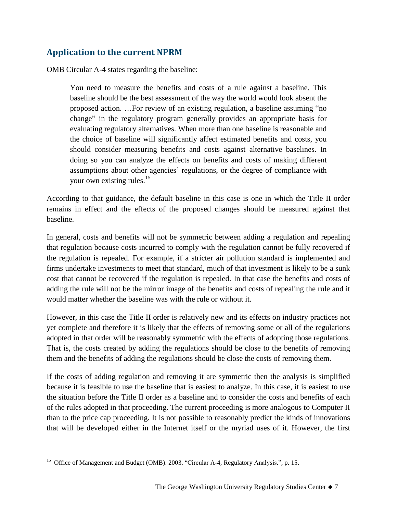## **Application to the current NPRM**

OMB Circular A-4 states regarding the baseline:

You need to measure the benefits and costs of a rule against a baseline. This baseline should be the best assessment of the way the world would look absent the proposed action. …For review of an existing regulation, a baseline assuming "no change" in the regulatory program generally provides an appropriate basis for evaluating regulatory alternatives. When more than one baseline is reasonable and the choice of baseline will significantly affect estimated benefits and costs, you should consider measuring benefits and costs against alternative baselines. In doing so you can analyze the effects on benefits and costs of making different assumptions about other agencies' regulations, or the degree of compliance with your own existing rules. $15$ 

According to that guidance, the default baseline in this case is one in which the Title II order remains in effect and the effects of the proposed changes should be measured against that baseline.

In general, costs and benefits will not be symmetric between adding a regulation and repealing that regulation because costs incurred to comply with the regulation cannot be fully recovered if the regulation is repealed. For example, if a stricter air pollution standard is implemented and firms undertake investments to meet that standard, much of that investment is likely to be a sunk cost that cannot be recovered if the regulation is repealed. In that case the benefits and costs of adding the rule will not be the mirror image of the benefits and costs of repealing the rule and it would matter whether the baseline was with the rule or without it.

However, in this case the Title II order is relatively new and its effects on industry practices not yet complete and therefore it is likely that the effects of removing some or all of the regulations adopted in that order will be reasonably symmetric with the effects of adopting those regulations. That is, the costs created by adding the regulations should be close to the benefits of removing them and the benefits of adding the regulations should be close the costs of removing them.

If the costs of adding regulation and removing it are symmetric then the analysis is simplified because it is feasible to use the baseline that is easiest to analyze. In this case, it is easiest to use the situation before the Title II order as a baseline and to consider the costs and benefits of each of the rules adopted in that proceeding. The current proceeding is more analogous to Computer II than to the price cap proceeding. It is not possible to reasonably predict the kinds of innovations that will be developed either in the Internet itself or the myriad uses of it. However, the first

 $\overline{a}$ 

<sup>&</sup>lt;sup>15</sup> Office of Management and Budget (OMB). 2003. "Circular A-4, Regulatory Analysis.", p. 15.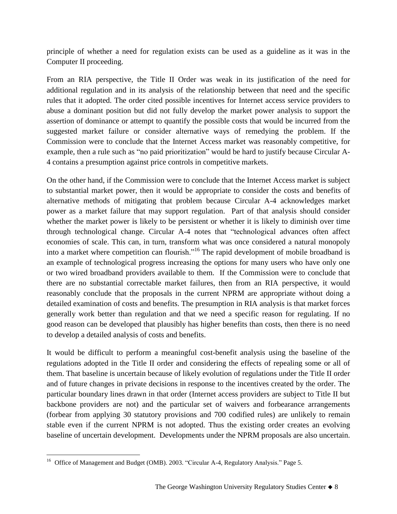principle of whether a need for regulation exists can be used as a guideline as it was in the Computer II proceeding.

From an RIA perspective, the Title II Order was weak in its justification of the need for additional regulation and in its analysis of the relationship between that need and the specific rules that it adopted. The order cited possible incentives for Internet access service providers to abuse a dominant position but did not fully develop the market power analysis to support the assertion of dominance or attempt to quantify the possible costs that would be incurred from the suggested market failure or consider alternative ways of remedying the problem. If the Commission were to conclude that the Internet Access market was reasonably competitive, for example, then a rule such as "no paid prioritization" would be hard to justify because Circular A-4 contains a presumption against price controls in competitive markets.

On the other hand, if the Commission were to conclude that the Internet Access market is subject to substantial market power, then it would be appropriate to consider the costs and benefits of alternative methods of mitigating that problem because Circular A-4 acknowledges market power as a market failure that may support regulation. Part of that analysis should consider whether the market power is likely to be persistent or whether it is likely to diminish over time through technological change. Circular A-4 notes that "technological advances often affect economies of scale. This can, in turn, transform what was once considered a natural monopoly into a market where competition can flourish."<sup>16</sup> The rapid development of mobile broadband is an example of technological progress increasing the options for many users who have only one or two wired broadband providers available to them. If the Commission were to conclude that there are no substantial correctable market failures, then from an RIA perspective, it would reasonably conclude that the proposals in the current NPRM are appropriate without doing a detailed examination of costs and benefits. The presumption in RIA analysis is that market forces generally work better than regulation and that we need a specific reason for regulating. If no good reason can be developed that plausibly has higher benefits than costs, then there is no need to develop a detailed analysis of costs and benefits.

It would be difficult to perform a meaningful cost-benefit analysis using the baseline of the regulations adopted in the Title II order and considering the effects of repealing some or all of them. That baseline is uncertain because of likely evolution of regulations under the Title II order and of future changes in private decisions in response to the incentives created by the order. The particular boundary lines drawn in that order (Internet access providers are subject to Title II but backbone providers are not) and the particular set of waivers and forbearance arrangements (forbear from applying 30 statutory provisions and 700 codified rules) are unlikely to remain stable even if the current NPRM is not adopted. Thus the existing order creates an evolving baseline of uncertain development. Developments under the NPRM proposals are also uncertain.

 $\overline{a}$ 

<sup>&</sup>lt;sup>16</sup> Office of Management and Budget (OMB). 2003. "Circular A-4, Regulatory Analysis." Page 5.